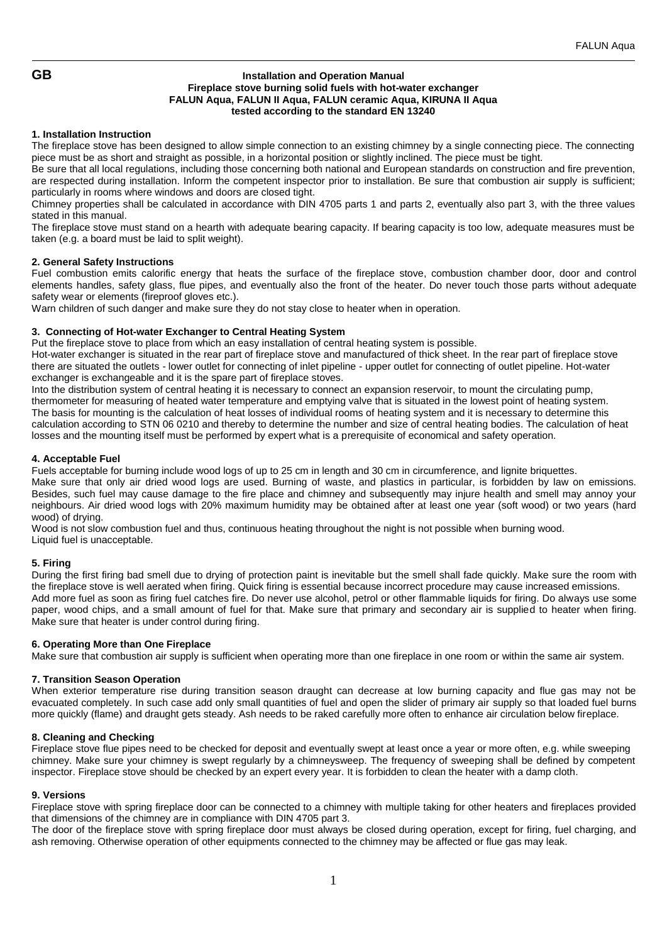# **GB Installation and Operation Manual Fireplace stove burning solid fuels with hot-water exchanger FALUN Aqua, FALUN II Aqua, FALUN ceramic Aqua, KIRUNA II Aqua tested according to the standard EN 13240**

# **1. Installation Instruction**

The fireplace stove has been designed to allow simple connection to an existing chimney by a single connecting piece. The connecting piece must be as short and straight as possible, in a horizontal position or slightly inclined. The piece must be tight.

Be sure that all local regulations, including those concerning both national and European standards on construction and fire prevention, are respected during installation. Inform the competent inspector prior to installation. Be sure that combustion air supply is sufficient; particularly in rooms where windows and doors are closed tight.

Chimney properties shall be calculated in accordance with DIN 4705 parts 1 and parts 2, eventually also part 3, with the three values stated in this manual.

The fireplace stove must stand on a hearth with adequate bearing capacity. If bearing capacity is too low, adequate measures must be taken (e.g. a board must be laid to split weight).

## **2. General Safety Instructions**

Fuel combustion emits calorific energy that heats the surface of the fireplace stove, combustion chamber door, door and control elements handles, safety glass, flue pipes, and eventually also the front of the heater. Do never touch those parts without adequate safety wear or elements (fireproof gloves etc.).

Warn children of such danger and make sure they do not stay close to heater when in operation.

# **3. Connecting of Hot-water Exchanger to Central Heating System**

Put the fireplace stove to place from which an easy installation of central heating system is possible.

Hot-water exchanger is situated in the rear part of fireplace stove and manufactured of thick sheet. In the rear part of fireplace stove there are situated the outlets - lower outlet for connecting of inlet pipeline - upper outlet for connecting of outlet pipeline. Hot-water exchanger is exchangeable and it is the spare part of fireplace stoves.

Into the distribution system of central heating it is necessary to connect an expansion reservoir, to mount the circulating pump, thermometer for measuring of heated water temperature and emptying valve that is situated in the lowest point of heating system. The basis for mounting is the calculation of heat losses of individual rooms of heating system and it is necessary to determine this calculation according to STN 06 0210 and thereby to determine the number and size of central heating bodies. The calculation of heat losses and the mounting itself must be performed by expert what is a prerequisite of economical and safety operation.

# **4. Acceptable Fuel**

Fuels acceptable for burning include wood logs of up to 25 cm in length and 30 cm in circumference, and lignite briquettes. Make sure that only air dried wood logs are used. Burning of waste, and plastics in particular, is forbidden by law on emissions. Besides, such fuel may cause damage to the fire place and chimney and subsequently may injure health and smell may annoy your neighbours. Air dried wood logs with 20% maximum humidity may be obtained after at least one year (soft wood) or two years (hard wood) of drying.

Wood is not slow combustion fuel and thus, continuous heating throughout the night is not possible when burning wood. Liquid fuel is unacceptable.

# **5. Firing**

During the first firing bad smell due to drying of protection paint is inevitable but the smell shall fade quickly. Make sure the room with the fireplace stove is well aerated when firing. Quick firing is essential because incorrect procedure may cause increased emissions. Add more fuel as soon as firing fuel catches fire. Do never use alcohol, petrol or other flammable liquids for firing. Do always use some paper, wood chips, and a small amount of fuel for that. Make sure that primary and secondary air is supplied to heater when firing. Make sure that heater is under control during firing.

## **6. Operating More than One Fireplace**

Make sure that combustion air supply is sufficient when operating more than one fireplace in one room or within the same air system.

## **7. Transition Season Operation**

When exterior temperature rise during transition season draught can decrease at low burning capacity and flue gas may not be evacuated completely. In such case add only small quantities of fuel and open the slider of primary air supply so that loaded fuel burns more quickly (flame) and draught gets steady. Ash needs to be raked carefully more often to enhance air circulation below fireplace.

## **8. Cleaning and Checking**

Fireplace stove flue pipes need to be checked for deposit and eventually swept at least once a year or more often, e.g. while sweeping chimney. Make sure your chimney is swept regularly by a chimneysweep. The frequency of sweeping shall be defined by competent inspector. Fireplace stove should be checked by an expert every year. It is forbidden to clean the heater with a damp cloth.

## **9. Versions**

Fireplace stove with spring fireplace door can be connected to a chimney with multiple taking for other heaters and fireplaces provided that dimensions of the chimney are in compliance with DIN 4705 part 3.

The door of the fireplace stove with spring fireplace door must always be closed during operation, except for firing, fuel charging, and ash removing. Otherwise operation of other equipments connected to the chimney may be affected or flue gas may leak.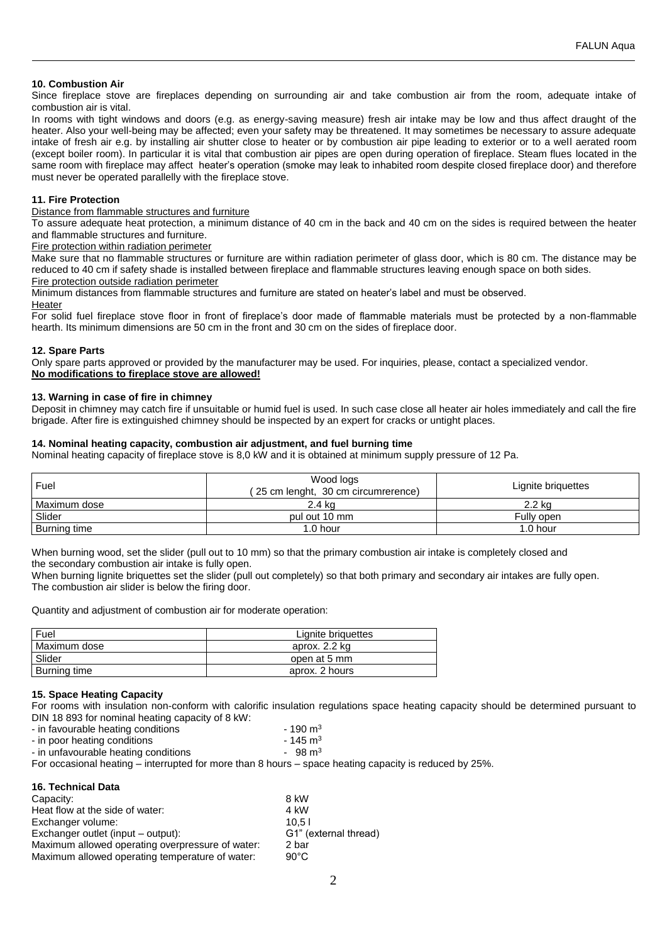# **10. Combustion Air**

Since fireplace stove are fireplaces depending on surrounding air and take combustion air from the room, adequate intake of combustion air is vital.

In rooms with tight windows and doors (e.g. as energy-saving measure) fresh air intake may be low and thus affect draught of the heater. Also your well-being may be affected; even your safety may be threatened. It may sometimes be necessary to assure adequate intake of fresh air e.g. by installing air shutter close to heater or by combustion air pipe leading to exterior or to a well aerated room (except boiler room). In particular it is vital that combustion air pipes are open during operation of fireplace. Steam flues located in the same room with fireplace may affect heater's operation (smoke may leak to inhabited room despite closed fireplace door) and therefore must never be operated parallelly with the fireplace stove.

## **11. Fire Protection**

Distance from flammable structures and furniture

To assure adequate heat protection, a minimum distance of 40 cm in the back and 40 cm on the sides is required between the heater and flammable structures and furniture.

Fire protection within radiation perimeter

Make sure that no flammable structures or furniture are within radiation perimeter of glass door, which is 80 cm. The distance may be reduced to 40 cm if safety shade is installed between fireplace and flammable structures leaving enough space on both sides.

# Fire protection outside radiation perimeter

Minimum distances from flammable structures and furniture are stated on heater's label and must be observed. **Heater** 

For solid fuel fireplace stove floor in front of fireplace's door made of flammable materials must be protected by a non-flammable hearth. Its minimum dimensions are 50 cm in the front and 30 cm on the sides of fireplace door.

## **12. Spare Parts**

Only spare parts approved or provided by the manufacturer may be used. For inquiries, please, contact a specialized vendor. **No modifications to fireplace stove are allowed!**

# **13. Warning in case of fire in chimney**

Deposit in chimney may catch fire if unsuitable or humid fuel is used. In such case close all heater air holes immediately and call the fire brigade. After fire is extinguished chimney should be inspected by an expert for cracks or untight places.

## **14. Nominal heating capacity, combustion air adjustment, and fuel burning time**

Nominal heating capacity of fireplace stove is 8,0 kW and it is obtained at minimum supply pressure of 12 Pa.

| Fuel         | Wood logs<br>(25 cm lenght, 30 cm circumrerence) | Lignite briquettes |
|--------------|--------------------------------------------------|--------------------|
| Maximum dose | 2.4 ka                                           | 2.2 kg             |
| Slider       | pul out 10 mm                                    | Fully open         |
| Burning time | 1.0 hour                                         | 1.0 hour           |

When burning wood, set the slider (pull out to 10 mm) so that the primary combustion air intake is completely closed and the secondary combustion air intake is fully open.

When burning lignite briquettes set the slider (pull out completely) so that both primary and secondary air intakes are fully open. The combustion air slider is below the firing door.

Quantity and adjustment of combustion air for moderate operation:

| Fuel           | Lignite briguettes |  |
|----------------|--------------------|--|
| l Maximum dose | aprox. 2.2 kg      |  |
| Slider         | open at 5 mm       |  |
| Burning time   | aprox. 2 hours     |  |

## **15. Space Heating Capacity**

For rooms with insulation non-conform with calorific insulation regulations space heating capacity should be determined pursuant to DIN 18 893 for nominal heating capacity of 8 kW:

| - in favourable heating conditions | $-190 \text{ m}^3$  |
|------------------------------------|---------------------|
| in noor hooting conditions.        | $4AE \rightarrow 3$ |

- in poor heating conditions 145 m<sup>3</sup><br>- in unfavourable heating conditions 145 m<sup>3</sup> m<sup>3</sup> - in unfavourable heating conditions
- 

For occasional heating – interrupted for more than 8 hours – space heating capacity is reduced by 25%.

| 16. Technical Data                               |                       |
|--------------------------------------------------|-----------------------|
| Capacity:                                        | 8 kW                  |
| Heat flow at the side of water:                  | 4 kW                  |
| Exchanger volume:                                | 10.51                 |
| Exchanger outlet (input - output):               | G1" (external thread) |
| Maximum allowed operating overpressure of water: | 2 bar                 |
| Maximum allowed operating temperature of water:  | $90^{\circ}$ C        |
|                                                  |                       |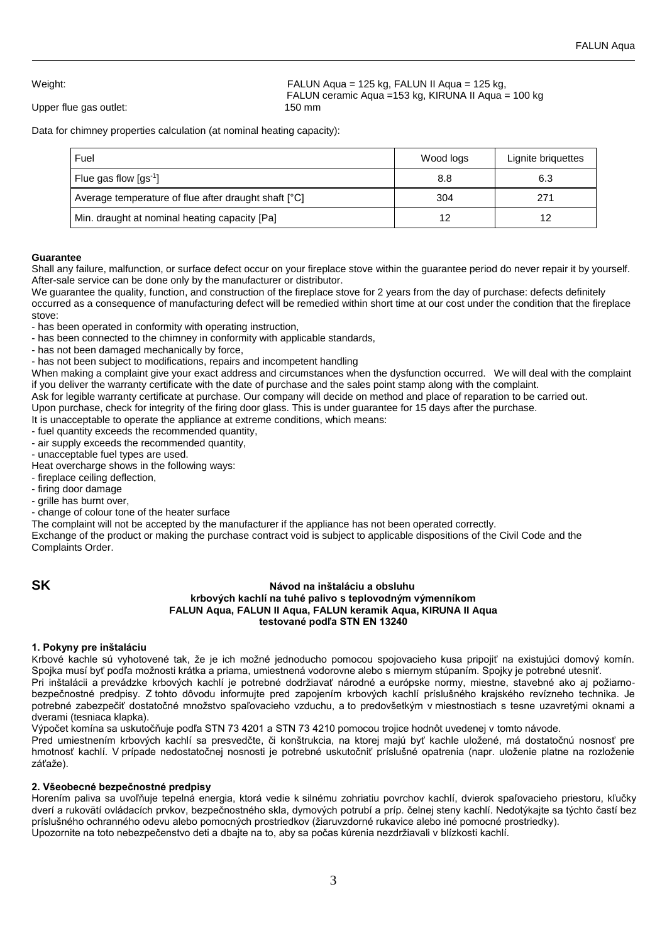Upper flue gas outlet: 150 mm

Weight: FALUN Aqua = 125 kg, FALUN II Aqua = 125 kg, FALUN ceramic Aqua =153 kg, KIRUNA II Aqua = 100 kg

Data for chimney properties calculation (at nominal heating capacity):

| Fuel                                                 | Wood logs | Lignite briquettes |
|------------------------------------------------------|-----------|--------------------|
| Flue gas flow $\left[\text{gs}^{\text{-1}}\right]$   | 8.8       | 6.3                |
| Average temperature of flue after draught shaft [°C] | 304       | 271                |
| Min. draught at nominal heating capacity [Pa]        | 12        | 12                 |

# **Guarantee**

Shall any failure, malfunction, or surface defect occur on your fireplace stove within the guarantee period do never repair it by yourself. After-sale service can be done only by the manufacturer or distributor.

We guarantee the quality, function, and construction of the fireplace stove for 2 years from the day of purchase: defects definitely occurred as a consequence of manufacturing defect will be remedied within short time at our cost under the condition that the fireplace stove:

- has been operated in conformity with operating instruction,

- has been connected to the chimney in conformity with applicable standards,
- has not been damaged mechanically by force,

- has not been subject to modifications, repairs and incompetent handling

When making a complaint give your exact address and circumstances when the dysfunction occurred. We will deal with the complaint if you deliver the warranty certificate with the date of purchase and the sales point stamp along with the complaint.

Ask for legible warranty certificate at purchase. Our company will decide on method and place of reparation to be carried out.

Upon purchase, check for integrity of the firing door glass. This is under guarantee for 15 days after the purchase.

It is unacceptable to operate the appliance at extreme conditions, which means:

- fuel quantity exceeds the recommended quantity,
- air supply exceeds the recommended quantity,

- unacceptable fuel types are used.

- Heat overcharge shows in the following ways:
- fireplace ceiling deflection,
- firing door damage
- grille has burnt over,
- change of colour tone of the heater surface

The complaint will not be accepted by the manufacturer if the appliance has not been operated correctly.

Exchange of the product or making the purchase contract void is subject to applicable dispositions of the Civil Code and the Complaints Order.

## **SK Návod na inštaláciu a obsluhu krbových kachlí na tuhé palivo s teplovodným výmenníkom FALUN Aqua, FALUN II Aqua, FALUN keramik Aqua, KIRUNA II Aqua testované podľa STN EN 13240**

# **1. Pokyny pre inštaláciu**

Krbové kachle sú vyhotovené tak, že je ich možné jednoducho pomocou spojovacieho kusa pripojiť na existujúci domový komín. Spojka musí byť podľa možnosti krátka a priama, umiestnená vodorovne alebo s miernym stúpaním. Spojky je potrebné utesniť.

Pri inštalácii a prevádzke krbových kachlí je potrebné dodržiavať národné a európske normy, miestne, stavebné ako aj požiarnobezpečnostné predpisy. Z tohto dôvodu informujte pred zapojením krbových kachlí príslušného krajského revízneho technika. Je potrebné zabezpečiť dostatočné množstvo spaľovacieho vzduchu, a to predovšetkým v miestnostiach s tesne uzavretými oknami a dverami (tesniaca klapka).

Výpočet komína sa uskutočňuje podľa STN 73 4201 a STN 73 4210 pomocou trojice hodnôt uvedenej v tomto návode.

Pred umiestnením krbových kachlí sa presvedčte, či konštrukcia, na ktorej majú byť kachle uložené, má dostatočnú nosnosť pre hmotnosť kachlí. V prípade nedostatočnej nosnosti je potrebné uskutočniť príslušné opatrenia (napr. uloženie platne na rozloženie záťaže).

# **2. Všeobecné bezpečnostné predpisy**

Horením paliva sa uvoľňuje tepelná energia, ktorá vedie k silnému zohriatiu povrchov kachlí, dvierok spaľovacieho priestoru, kľučky dverí a rukovätí ovládacích prvkov, bezpečnostného skla, dymových potrubí a príp. čelnej steny kachlí. Nedotýkajte sa týchto častí bez príslušného ochranného odevu alebo pomocných prostriedkov (žiaruvzdorné rukavice alebo iné pomocné prostriedky). Upozornite na toto nebezpečenstvo deti a dbajte na to, aby sa počas kúrenia nezdržiavali v blízkosti kachlí.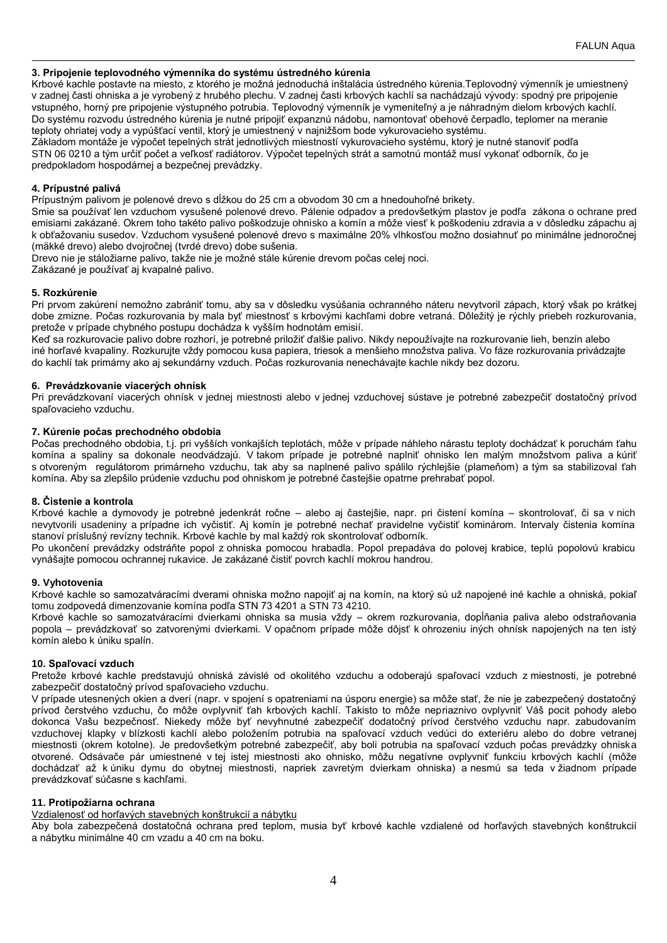# **3. Pripojenie teplovodného výmenníka do systému ústredného kúrenia**

Krbové kachle postavte na miesto, z ktorého je možná jednoduchá inštalácia ústredného kúrenia.Teplovodný výmenník je umiestnený v zadnej časti ohniska a je vyrobený z hrubého plechu. V zadnej časti krbových kachlí sa nachádzajú vývody: spodný pre pripojenie vstupného, horný pre pripojenie výstupného potrubia. Teplovodný výmenník je vymeniteľný a je náhradným dielom krbových kachlí. Do systému rozvodu ústredného kúrenia je nutné pripojiť expanznú nádobu, namontovať obehové čerpadlo, teplomer na meranie teploty ohriatej vody a vypúšťací ventil, ktorý je umiestnený v najnižšom bode vykurovacieho systému.

Základom montáže je výpočet tepelných strát jednotlivých miestností vykurovacieho systému, ktorý je nutné stanoviť podľa STN 06 0210 a tým určiť počet a veľkosť radiátorov. Výpočet tepelných strát a samotnú montáž musí vykonať odborník, čo je predpokladom hospodárnej a bezpečnej prevádzky.

# **4. Prípustné palivá**

Prípustným palivom je polenové drevo s dĺžkou do 25 cm a obvodom 30 cm a hnedouhoľné brikety.

Smie sa používať len vzduchom vysušené polenové drevo. Pálenie odpadov a predovšetkým plastov je podľa zákona o ochrane pred emisiami zakázané. Okrem toho takéto palivo poškodzuje ohnisko a komín a môže viesť k poškodeniu zdravia a v dôsledku zápachu aj k obťažovaniu susedov. Vzduchom vysušené polenové drevo s maximálne 20% vlhkosťou možno dosiahnuť po minimálne jednoročnej (mäkké drevo) alebo dvojročnej (tvrdé drevo) dobe sušenia.

Drevo nie je stáložiarne palivo, takže nie je možné stále kúrenie drevom počas celej noci.

Zakázané je používať aj kvapalné palivo.

## **5. Rozkúrenie**

Pri prvom zakúrení nemožno zabrániť tomu, aby sa v dôsledku vysúšania ochranného náteru nevytvoril zápach, ktorý však po krátkej dobe zmizne. Počas rozkurovania by mala byť miestnosť s krbovými kachľami dobre vetraná. Dôležitý je rýchly priebeh rozkurovania, pretože v prípade chybného postupu dochádza k vyšším hodnotám emisií.

Keď sa rozkurovacie palivo dobre rozhorí, je potrebné priložiť ďalšie palivo. Nikdy nepoužívajte na rozkurovanie lieh, benzín alebo iné horľavé kvapaliny. Rozkurujte vždy pomocou kusa papiera, triesok a menšieho množstva paliva. Vo fáze rozkurovania privádzajte do kachlí tak primárny ako aj sekundárny vzduch. Počas rozkurovania nenechávajte kachle nikdy bez dozoru.

## **6. Prevádzkovanie viacerých ohnísk**

Pri prevádzkovaní viacerých ohnísk v jednej miestnosti alebo v jednej vzduchovej sústave je potrebné zabezpečiť dostatočný prívod spaľovacieho vzduchu.

## **7. Kúrenie počas prechodného obdobia**

Počas prechodného obdobia, t.j. pri vyšších vonkajších teplotách, môže v prípade náhleho nárastu teploty dochádzať k poruchám ťahu komína a spaliny sa dokonale neodvádzajú. V takom prípade je potrebné naplniť ohnisko len malým množstvom paliva a kúriť s otvoreným regulátorom primárneho vzduchu, tak aby sa naplnené palivo spálilo rýchlejšie (plameňom) a tým sa stabilizoval ťah komína. Aby sa zlepšilo prúdenie vzduchu pod ohniskom je potrebné častejšie opatrne prehrabať popol.

## **8. Čistenie a kontrola**

Krbové kachle a dymovody je potrebné jedenkrát ročne – alebo aj častejšie, napr. pri čistení komína – skontrolovať, či sa v nich nevytvorili usadeniny a prípadne ich vyčistiť. Aj komín je potrebné nechať pravidelne vyčistiť kominárom. Intervaly čistenia komína stanoví príslušný revízny technik. Krbové kachle by mal každý rok skontrolovať odborník.

Po ukončení prevádzky odstráňte popol z ohniska pomocou hrabadla. Popol prepadáva do polovej krabice, teplú popolovú krabicu vynášajte pomocou ochrannej rukavice. Je zakázané čistiť povrch kachlí mokrou handrou.

## **9. Vyhotovenia**

Krbové kachle so samozatváracími dverami ohniska možno napojiť aj na komín, na ktorý sú už napojené iné kachle a ohniská, pokiaľ tomu zodpovedá dimenzovanie komína podľa STN 73 4201 a STN 73 4210.

Krbové kachle so samozatváracími dvierkami ohniska sa musia vždy – okrem rozkurovania, dopĺňania paliva alebo odstraňovania popola – prevádzkovať so zatvorenými dvierkami. V opačnom prípade môže dôjsť k ohrozeniu iných ohnísk napojených na ten istý komín alebo k úniku spalín.

## **10. Spaľovací vzduch**

Pretože krbové kachle predstavujú ohniská závislé od okolitého vzduchu a odoberajú spaľovací vzduch z miestnosti, je potrebné zabezpečiť dostatočný prívod spaľovacieho vzduchu.

V prípade utesnených okien a dverí (napr. v spojení s opatreniami na úsporu energie) sa môže stať, že nie je zabezpečený dostatočný prívod čerstvého vzduchu, čo môže ovplyvniť ťah krbových kachlí. Takisto to môže nepriaznivo ovplyvniť Váš pocit pohody alebo dokonca Vašu bezpečnosť. Niekedy môže byť nevyhnutné zabezpečiť dodatočný prívod čerstvého vzduchu napr. zabudovaním vzduchovej klapky v blízkosti kachlí alebo položením potrubia na spaľovací vzduch vedúci do exteriéru alebo do dobre vetranej miestnosti (okrem kotolne). Je predovšetkým potrebné zabezpečiť, aby boli potrubia na spaľovací vzduch počas prevádzky ohniska otvorené. Odsávače pár umiestnené v tej istej miestnosti ako ohnisko, môžu negatívne ovplyvniť funkciu krbových kachlí (môže dochádzať až k úniku dymu do obytnej miestnosti, napriek zavretým dvierkam ohniska) a nesmú sa teda v žiadnom prípade prevádzkovať súčasne s kachľami.

## **11. Protipožiarna ochrana**

Vzdialenosť od horľavých stavebných konštrukcií a nábytku

Aby bola zabezpečená dostatočná ochrana pred teplom, musia byť krbové kachle vzdialené od horľavých stavebných konštrukcií a nábytku minimálne 40 cm vzadu a 40 cm na boku.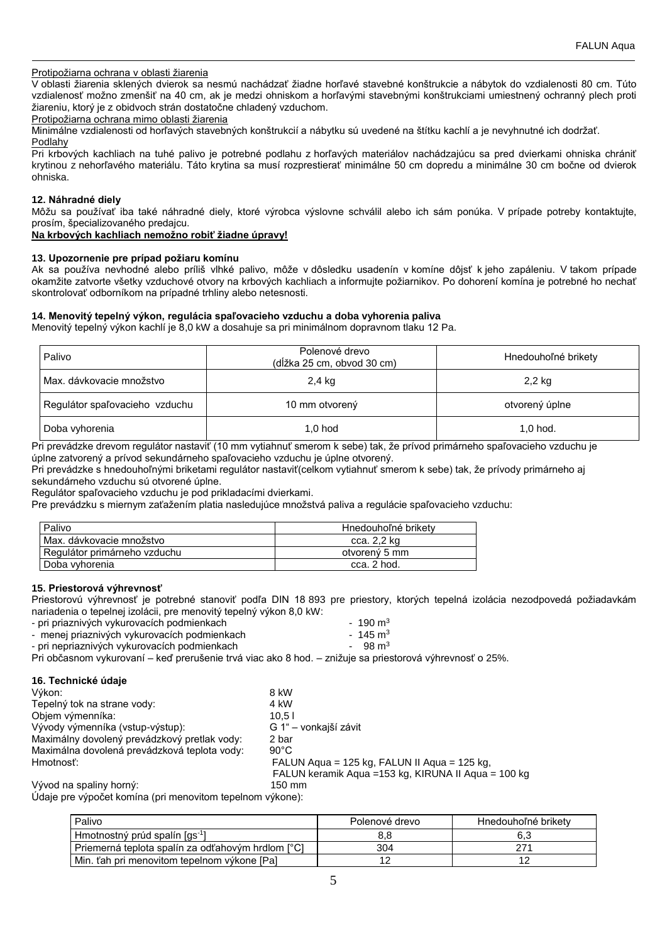# Protipožiarna ochrana v oblasti žiarenia

V oblasti žiarenia sklených dvierok sa nesmú nachádzať žiadne horľavé stavebné konštrukcie a nábytok do vzdialenosti 80 cm. Túto vzdialenosť možno zmenšiť na 40 cm, ak je medzi ohniskom a horľavými stavebnými konštrukciami umiestnený ochranný plech proti žiareniu, ktorý je z obidvoch strán dostatočne chladený vzduchom.

#### Protipožiarna ochrana mimo oblasti žiarenia

Minimálne vzdialenosti od horľavých stavebných konštrukcií a nábytku sú uvedené na štítku kachlí a je nevyhnutné ich dodržať.

**Podlahy** Pri krbových kachliach na tuhé palivo je potrebné podlahu z horľavých materiálov nachádzajúcu sa pred dvierkami ohniska chrániť krytinou z nehorľavého materiálu. Táto krytina sa musí rozprestierať minimálne 50 cm dopredu a minimálne 30 cm bočne od dvierok ohniska.

#### **12. Náhradné diely**

Môžu sa používať iba také náhradné diely, ktoré výrobca výslovne schválil alebo ich sám ponúka. V prípade potreby kontaktujte, prosím, špecializovaného predajcu.

**Na krbových kachliach nemožno robiť žiadne úpravy!**

## **13. Upozornenie pre prípad požiaru komínu**

Ak sa používa nevhodné alebo príliš vlhké palivo, môže v dôsledku usadenín v komíne dôjsť k jeho zapáleniu. V takom prípade okamžite zatvorte všetky vzduchové otvory na krbových kachliach a informujte požiarnikov. Po dohorení komína je potrebné ho nechať skontrolovať odborníkom na prípadné trhliny alebo netesnosti.

## **14. Menovitý tepelný výkon, regulácia spaľovacieho vzduchu a doba vyhorenia paliva**

Menovitý tepelný výkon kachlí je 8,0 kW a dosahuje sa pri minimálnom dopravnom tlaku 12 Pa.

| Palivo                         | Polenové drevo<br>Hnedouhoľné brikety<br>(dĺžka 25 cm, obvod 30 cm) |                |
|--------------------------------|---------------------------------------------------------------------|----------------|
| Max. dávkovacie množstvo       | 2,4 kg                                                              | 2,2 kg         |
| Regulátor spaľovacieho vzduchu | 10 mm otvorený                                                      | otvorený úplne |
| Doba vyhorenia                 | $1.0$ hod                                                           | $1,0$ hod.     |

Pri prevádzke drevom regulátor nastaviť (10 mm vytiahnuť smerom k sebe) tak, že prívod primárneho spaľovacieho vzduchu je úplne zatvorený a prívod sekundárneho spaľovacieho vzduchu je úplne otvorený.

Pri prevádzke s hnedouhoľnými briketami regulátor nastaviť(celkom vytiahnuť smerom k sebe) tak, že prívody primárneho aj sekundárneho vzduchu sú otvorené úplne.

Regulátor spaľovacieho vzduchu je pod prikladacími dvierkami.

Pre prevádzku s miernym zaťažením platia nasledujúce množstvá paliva a regulácie spaľovacieho vzduchu:

| Palivo                       | Hnedouhoľné brikety |
|------------------------------|---------------------|
| Max. dávkovacie množstvo     | cca. 2,2 kg         |
| Regulátor primárneho vzduchu | otvorený 5 mm       |
| Doba vyhorenia               | cca. 2 hod.         |

# **15. Priestorová výhrevnosť**

Priestorovú výhrevnosť je potrebné stanoviť podľa DIN 18 893 pre priestory, ktorých tepelná izolácia nezodpovedá požiadavkám nariadenia o tepelnej izolácii, pre menovitý tepelný výkon 8,0 kW:

| - pri priaznivých vykurovacích podmienkach | $-190 \text{ m}^3$ |
|--------------------------------------------|--------------------|
|--------------------------------------------|--------------------|

- menej priaznivých vykurovacích podmienkach 145 m<sup>3</sup>
- pri nepriaznivých vykurovacích podmienkach  $\sim$  98 m<sup>3</sup>

Pri občasnom vykurovaní – keď prerušenie trvá viac ako 8 hod. – znižuje sa priestorová výhrevnosť o 25%.

## **16. Technické údaje**

| Výkon:                                       | 8 kW                                                 |
|----------------------------------------------|------------------------------------------------------|
| Tepelný tok na strane vody:                  | 4 kW                                                 |
| Objem výmenníka:                             | 10.51                                                |
| Vývody výmenníka (vstup-výstup):             | G 1" – vonkajší závit                                |
| Maximálny dovolený prevádzkový pretlak vody: | 2 bar                                                |
| Maximálna dovolená prevádzková teplota vody: | $90^{\circ}$ C                                       |
| Hmotnosť:                                    | FALUN Aqua = 125 kg, FALUN II Aqua = 125 kg,         |
|                                              | FALUN keramik Agua = 153 kg, KIRUNA II Agua = 100 kg |
| Vývod na spaliny horný:                      | 150 mm                                               |

Údaje pre výpočet komína (pri menovitom tepelnom výkone):

| Palivo                                            | Polenové drevo | Hnedouhoľné brikety |
|---------------------------------------------------|----------------|---------------------|
| Hmotnostný prúd spalín [qs <sup>-1</sup> ]        | 8.8            |                     |
| Priemerná teplota spalín za odťahovým hrdlom [°C] | 304            |                     |
| Min. ťah pri menovitom tepelnom výkone [Pa]       |                |                     |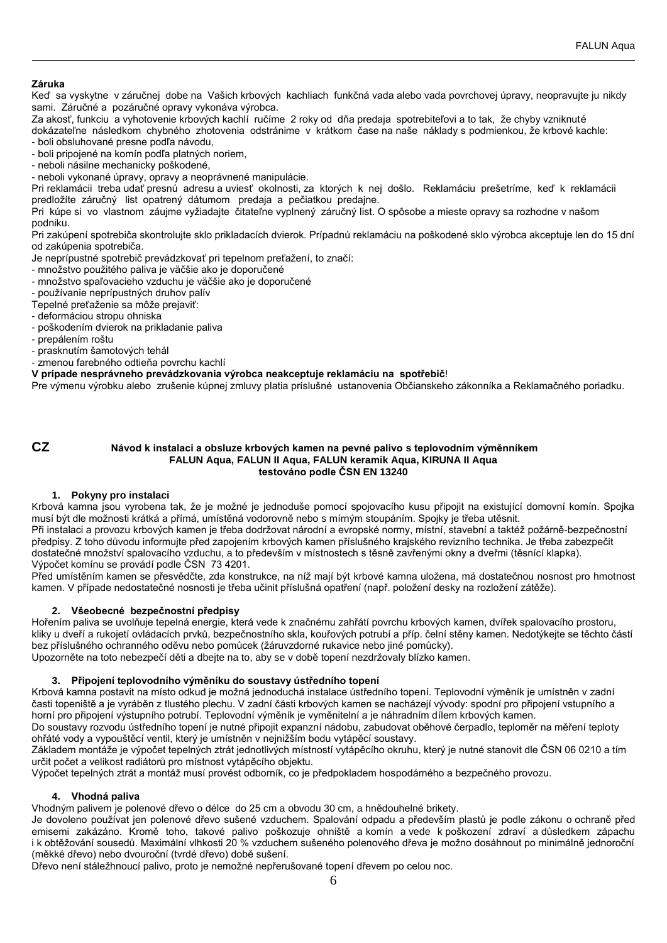# **Záruka**

Keď sa vyskytne v záručnej dobe na Vašich krbových kachliach funkčná vada alebo vada povrchovej úpravy, neopravujte ju nikdy sami. Záručné a pozáručné opravy vykonáva výrobca.

Za akosť, funkciu a vyhotovenie krbových kachlí ručíme 2 roky od dňa predaja spotrebiteľovi a to tak, že chyby vzniknuté dokázateľne následkom chybného zhotovenia odstránime v krátkom čase na naše náklady s podmienkou, že krbové kachle: - boli obsluhované presne podľa návodu,

- boli pripojené na komín podľa platných noriem,

- neboli násilne mechanicky poškodené,

- neboli vykonané úpravy, opravy a neoprávnené manipulácie.

Pri reklamácii treba udať presnú adresu a uviesť okolnosti, za ktorých k nej došlo. Reklamáciu prešetríme, keď k reklamácii predložíte záručný list opatrený dátumom predaja a pečiatkou predajne.

Pri kúpe si vo vlastnom záujme vyžiadajte čitateľne vyplnený záručný list. O spôsobe a mieste opravy sa rozhodne v našom podniku.

Pri zakúpení spotrebiča skontrolujte sklo prikladacích dvierok. Prípadnú reklamáciu na poškodené sklo výrobca akceptuje len do 15 dní od zakúpenia spotrebiča.

Je neprípustné spotrebič prevádzkovať pri tepelnom preťažení, to značí:

- množstvo použitého paliva je väčšie ako je doporučené

- množstvo spaľovacieho vzduchu je väčšie ako je doporučené

- používanie neprípustných druhov palív

Tepelné preťaženie sa môže prejaviť:

- deformáciou stropu ohniska
- poškodením dvierok na prikladanie paliva
- prepálením roštu
- prasknutím šamotových tehál
- zmenou farebného odtieňa povrchu kachlí

# **V prípade nesprávneho prevádzkovania výrobca neakceptuje reklamáciu na spotřebič**!

Pre výmenu výrobku alebo zrušenie kúpnej zmluvy platia príslušné ustanovenia Občianskeho zákonníka a Reklamačného poriadku.

# **CZ Návod k instalaci a obsluze krbových kamen na pevné palivo s teplovodním výměnníkem FALUN Aqua, FALUN II Aqua, FALUN keramik Aqua, KIRUNA II Aqua testováno podle ČSN EN 13240**

## **1. Pokyny pro instalaci**

Krbová kamna jsou vyrobena tak, že je možné je jednoduše pomocí spojovacího kusu připojit na existující domovní komín. Spojka musí být dle možnosti krátká a přímá, umístěná vodorovně nebo s mírným stoupáním. Spojky je třeba utěsnit. Při instalaci a provozu krbových kamen je třeba dodržovat národní a evropské normy, místní, stavební a taktéž požárně-bezpečnostní předpisy. Z toho důvodu informujte před zapojením krbových kamen příslušného krajského revizního technika. Je třeba zabezpečit dostatečné množství spalovacího vzduchu, a to především v místnostech s těsně zavřenými okny a dveřmi (těsnící klapka). Výpočet komínu se provádí podle ČSN 73 4201.

Před umístěním kamen se přesvědčte, zda konstrukce, na níž mají být krbové kamna uložena, má dostatečnou nosnost pro hmotnost kamen. V případe nedostatečné nosnosti je třeba učinit příslušná opatření (např. položení desky na rozložení zátěže).

# **2. Všeobecné bezpečnostní předpisy**

Hořením paliva se uvolňuje tepelná energie, která vede k značnému zahřátí povrchu krbových kamen, dvířek spalovacího prostoru, kliky u dveří a rukojetí ovládacích prvků, bezpečnostního skla, kouřových potrubí a příp. čelní stěny kamen. Nedotýkejte se těchto částí bez příslušného ochranného oděvu nebo pomůcek (žáruvzdorné rukavice nebo jiné pomůcky).

Upozorněte na toto nebezpečí děti a dbejte na to, aby se v době topení nezdržovaly blízko kamen.

## **3. Připojení teplovodního výměníku do soustavy ústředního topení**

Krbová kamna postavit na místo odkud je možná jednoduchá instalace ústředního topení. Teplovodní výměník je umístněn v zadní časti topeniště a je vyráběn z tlustého plechu. V zadní části krbových kamen se nacházejí vývody: spodní pro připojení vstupního a horní pro připojení výstupního potrubí. Teplovodní výměník je vyměnitelní a je náhradním dílem krbových kamen.

Do soustavy rozvodu ústředního topení je nutné připojit expanzní nádobu, zabudovat oběhové čerpadlo, teploměr na měření teploty ohřáté vody a vypouštěcí ventil, který je umístněn v nejnižším bodu vytápěcí soustavy.

Základem montáže je výpočet tepelných ztrát jednotlivých místností vytápěcího okruhu, který je nutné stanovit dle ČSN 06 0210 a tím určit počet a velikost radiátorů pro místnost vytápěcího objektu.

Výpočet tepelných ztrát a montáž musí provést odborník, co je předpokladem hospodárného a bezpečného provozu.

# **4. Vhodná paliva**

Vhodným palivem je polenové dřevo o délce do 25 cm a obvodu 30 cm, a hnědouhelné brikety.

Je dovoleno používat jen polenové dřevo sušené vzduchem. Spalování odpadu a především plastů je podle zákonu o ochraně před emisemi zakázáno. Kromě toho, takové palivo poškozuje ohniště a komín a vede k poškození zdraví a důsledkem zápachu i k obtěžování sousedů. Maximální vlhkosti 20 % vzduchem sušeného polenového dřeva je možno dosáhnout po minimálně jednoroční (měkké dřevo) nebo dvouroční (tvrdé dřevo) době sušení.

Dřevo není stáležhnoucí palivo, proto je nemožné nepřerušované topení dřevem po celou noc.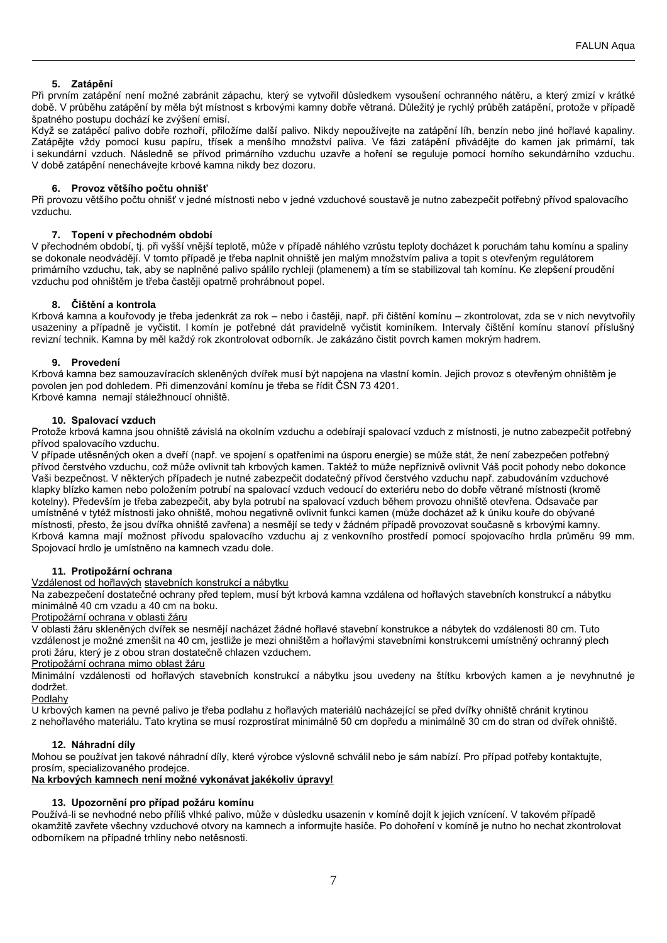# **5. Zatápění**

Při prvním zatápění není možné zabránit zápachu, který se vytvořil důsledkem vysoušení ochranného nátěru, a který zmizí v krátké době. V průběhu zatápění by měla být místnost s krbovými kamny dobře větraná. Důležitý je rychlý průběh zatápění, protože v případě špatného postupu dochází ke zvýšení emisí.

Když se zatápěcí palivo dobře rozhoří, přiložíme další palivo. Nikdy nepoužívejte na zatápění líh, benzín nebo jiné hořlavé kapaliny. Zatápějte vždy pomocí kusu papíru, třísek a menšího množství paliva. Ve fázi zatápění přivádějte do kamen jak primární, tak i sekundární vzduch. Následně se přívod primárního vzduchu uzavře a hoření se reguluje pomocí horního sekundárního vzduchu. V době zatápění nenechávejte krbové kamna nikdy bez dozoru.

# **6. Provoz většího počtu ohnišť**

Při provozu většího počtu ohnišť v jedné místnosti nebo v jedné vzduchové soustavě je nutno zabezpečit potřebný přívod spalovacího vzduchu.

# **7. Topení v přechodném období**

V přechodném období, tj. při vyšší vnější teplotě, může v případě náhlého vzrůstu teploty docházet k poruchám tahu komínu a spaliny se dokonale neodvádějí. V tomto případě je třeba naplnit ohniště jen malým množstvím paliva a topit s otevřeným regulátorem primárního vzduchu, tak, aby se naplněné palivo spálilo rychleji (plamenem) a tím se stabilizoval tah komínu. Ke zlepšení proudění vzduchu pod ohništěm je třeba častěji opatrně prohrábnout popel.

# **8. Čištění a kontrola**

Krbová kamna a kouřovody je třeba jedenkrát za rok – nebo i častěji, např. při čištění komínu – zkontrolovat, zda se v nich nevytvořily usazeniny a případně je vyčistit. I komín je potřebné dát pravidelně vyčistit kominíkem. Intervaly čištění komínu stanoví příslušný revizní technik. Kamna by měl každý rok zkontrolovat odborník. Je zakázáno čistit povrch kamen mokrým hadrem.

# **9. Provedení**

Krbová kamna bez samouzavíracích skleněných dvířek musí být napojena na vlastní komín. Jejich provoz s otevřeným ohništěm je povolen jen pod dohledem. Při dimenzování komínu je třeba se řídit ČSN 73 4201. Krbové kamna nemají stáležhnoucí ohniště.

# **10. Spalovací vzduch**

Protože krbová kamna jsou ohniště závislá na okolním vzduchu a odebírají spalovací vzduch z místnosti, je nutno zabezpečit potřebný přívod spalovacího vzduchu.

V případe utěsněných oken a dveří (např. ve spojení s opatřeními na úsporu energie) se může stát, že není zabezpečen potřebný přívod čerstvého vzduchu, což může ovlivnit tah krbových kamen. Taktéž to může nepříznivě ovlivnit Váš pocit pohody nebo dokonce .<br>Vaši bezpečnost. V některých případech je nutné zabezpečit dodatečný přívod čerstvého vzduchu např. zabudováním vzduchové klapky blízko kamen nebo položením potrubí na spalovací vzduch vedoucí do exteriéru nebo do dobře větrané místnosti (kromě kotelny). Především je třeba zabezpečit, aby byla potrubí na spalovací vzduch během provozu ohniště otevřena. Odsavače par umístněné v tytéž místnosti jako ohniště, mohou negativně ovlivnit funkci kamen (může docházet až k úniku kouře do obývané místnosti, přesto, že jsou dvířka ohniště zavřena) a nesmějí se tedy v žádném případě provozovat současně s krbovými kamny. Krbová kamna mají možnost přívodu spalovacího vzduchu aj z venkovního prostředí pomocí spojovacího hrdla průměru 99 mm. Spojovací hrdlo je umístněno na kamnech vzadu dole.

## **11. Protipožární ochrana**

Vzdálenost od hořlavých stavebních konstrukcí a nábytku

Na zabezpečení dostatečné ochrany před teplem, musí být krbová kamna vzdálena od hořlavých stavebních konstrukcí a nábytku minimálně 40 cm vzadu a 40 cm na boku.

# Protipožární ochrana v oblasti žáru

V oblasti žáru skleněných dvířek se nesmějí nacházet žádné hořlavé stavební konstrukce a nábytek do vzdálenosti 80 cm. Tuto vzdálenost je možné zmenšit na 40 cm, jestliže je mezi ohništěm a hořlavými stavebními konstrukcemi umístněný ochranný plech proti žáru, který je z obou stran dostatečně chlazen vzduchem.

Protipožární ochrana mimo oblast žáru

Minimální vzdálenosti od hořlavých stavebních konstrukcí a nábytku jsou uvedeny na štítku krbových kamen a je nevyhnutné je dodržet.

Podlahy

U krbových kamen na pevné palivo je třeba podlahu z hořlavých materiálů nacházející se před dvířky ohniště chránit krytinou z nehořlavého materiálu. Tato krytina se musí rozprostírat minimálně 50 cm dopředu a minimálně 30 cm do stran od dvířek ohniště.

## **12. Náhradní díly**

Mohou se používat jen takové náhradní díly, které výrobce výslovně schválil nebo je sám nabízí. Pro případ potřeby kontaktujte, prosím, specializovaného prodejce.

# **Na krbových kamnech není možné vykonávat jakékoliv úpravy!**

# **13. Upozornění pro případ požáru komínu**

Používá-li se nevhodné nebo příliš vlhké palivo, může v důsledku usazenin v komíně dojít k jejich vznícení. V takovém případě okamžitě zavřete všechny vzduchové otvory na kamnech a informujte hasiče. Po dohoření v komíně je nutno ho nechat zkontrolovat odborníkem na případné trhliny nebo netěsnosti.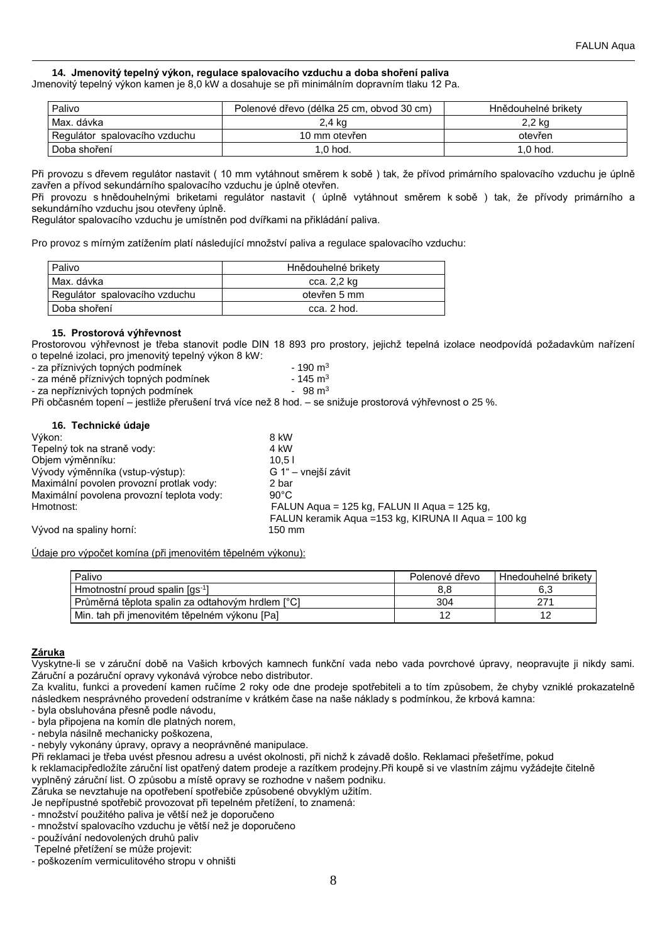# **14. Jmenovitý tepelný výkon, regulace spalovacího vzduchu a doba shoření paliva**

Jmenovitý tepelný výkon kamen je 8,0 kW a dosahuje se při minimálním dopravním tlaku 12 Pa.

| Palivo                          | Polenové dřevo (délka 25 cm, obvod 30 cm) | Hnědouhelné brikety |
|---------------------------------|-------------------------------------------|---------------------|
| l Max. dávka                    | 2.4 kg                                    | 2.2 kg              |
| l Regulátor spalovacího vzduchu | 10 mm otevřen                             | otevřen             |
| l Doba shoření                  | $1.0$ hod.                                | $1.0$ hod.          |

Při provozu s dřevem regulátor nastavit ( 10 mm vytáhnout směrem k sobě ) tak, že přívod primárního spalovacího vzduchu je úplně zavřen a přívod sekundárního spalovacího vzduchu je úplně otevřen.

Při provozu s hnědouhelnými briketami regulátor nastavit ( úplně vytáhnout směrem k sobě ) tak, že přívody primárního a sekundárního vzduchu jsou otevřeny úplně.

Regulátor spalovacího vzduchu je umístněn pod dvířkami na přikládání paliva.

Pro provoz s mírným zatížením platí následující množství paliva a regulace spalovacího vzduchu:

| Palivo                        | Hnědouhelné briketv |
|-------------------------------|---------------------|
| Max. dávka                    | cca. 2,2 kg         |
| Regulátor spalovacího vzduchu | otevřen 5 mm        |
| l Doba shoření                | cca. 2 hod.         |

#### **15. Prostorová výhřevnost**

**16. Technické údaje**

Prostorovou výhřevnost je třeba stanovit podle DIN 18 893 pro prostory, jejichž tepelná izolace neodpovídá požadavkům nařízení o tepelné izolaci, pro jmenovitý tepelný výkon 8 kW:

| - za příznivých topných podmínek      | $-190 \text{ m}^3$ |
|---------------------------------------|--------------------|
| - za méně příznivých topných podmínek | $-145 \text{ m}^3$ |
|                                       | $\sim$ $\sim$      |

- za nepříznivých topných podmínek<br>
98 m<sup>3</sup>

Při občasném topení – jestliže přerušení trvá více než 8 hod. – se snižuje prostorová výhřevnost o 25 %.

| 8 kW                                                 |
|------------------------------------------------------|
| 4 kW                                                 |
| 10.51                                                |
| G 1" – vnejší závit                                  |
| 2 bar                                                |
| $90^{\circ}$ C                                       |
| FALUN Aqua = 125 kg, FALUN II Aqua = 125 kg,         |
| FALUN keramik Agua = 153 kg, KIRUNA II Agua = 100 kg |
| 150 mm                                               |
|                                                      |

Údaje pro výpočet komína (při jmenovitém těpelném výkonu):

| Palivo                                           | Polenové dřevo | Hnedouhelné brikety |
|--------------------------------------------------|----------------|---------------------|
| Hmotnostní proud spalin [qs <sup>-1</sup> ]      |                |                     |
| Průměrná těplota spalin za odtahovým hrdlem [°C] | 304            |                     |
| Min. tah při jmenovitém těpelném výkonu [Pa]     |                |                     |

## **Záruka**

Vyskytne-li se v záruční době na Vašich krbových kamnech funkční vada nebo vada povrchové úpravy, neopravujte ji nikdy sami. Záruční a pozáruční opravy vykonává výrobce nebo distributor.

Za kvalitu, funkci a provedení kamen ručíme 2 roky ode dne prodeje spotřebiteli a to tím způsobem, že chyby vzniklé prokazatelně následkem nesprávného provedení odstraníme v krátkém čase na naše náklady s podmínkou, že krbová kamna:

- byla obsluhována přesně podle návodu,

- byla připojena na komín dle platných norem,

- nebyla násilně mechanicky poškozena,

- nebyly vykonány úpravy, opravy a neoprávněné manipulace.

Při reklamaci je třeba uvést přesnou adresu a uvést okolnosti, při nichž k závadě došlo. Reklamaci přešetříme, pokud k reklamacipředložíte záruční list opatřený datem prodeje a razítkem prodejny.Při koupě si ve vlastním zájmu vyžádejte čitelně

vyplněný záruční list. O způsobu a místě opravy se rozhodne v našem podniku.

Záruka se nevztahuje na opotřebení spotřebiče způsobené obvyklým užitím. Je nepřípustné spotřebič provozovat při tepelném přetížení, to znamená:

- množství použitého paliva je větší než je doporučeno
- množství spalovacího vzduchu je větší než je doporučeno
- používání nedovolených druhů paliv

Tepelné přetížení se může projevit:

- poškozením vermiculitového stropu v ohništi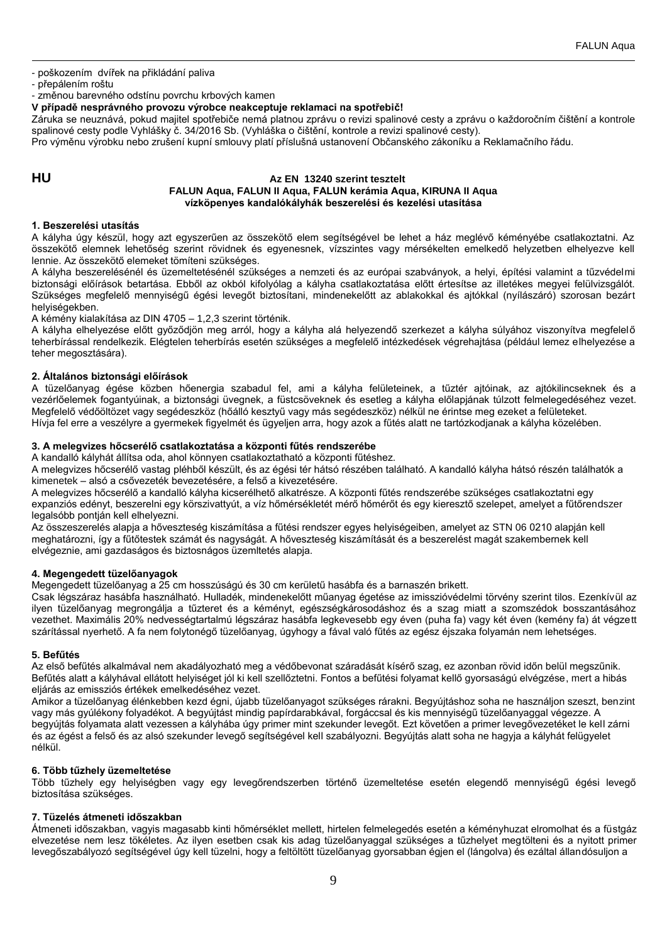- poškozením dvířek na přikládání paliva

- přepálením roštu

- změnou barevného odstínu povrchu krbových kamen

**V případě nesprávného provozu výrobce neakceptuje reklamaci na spotřebič!**

Záruka se neuznává, pokud majitel spotřebiče nemá platnou zprávu o revizi spalinové cesty a zprávu o každoročním čištění a kontrole spalinové cesty podle Vyhlášky č. 34/2016 Sb. (Vyhláška o čištění, kontrole a revizi spalinové cesty).

Pro výměnu výrobku nebo zrušení kupní smlouvy platí příslušná ustanovení Občanského zákoníku a Reklamačního řádu.

# **HU Az EN 13240 szerint tesztelt FALUN Aqua, FALUN II Aqua, FALUN kerámia Aqua, KIRUNA II Aqua vízköpenyes kandalókályhák beszerelési és kezelési utasítása**

## **1. Beszerelési utasítás**

A kályha úgy készül, hogy azt egyszerűen az összekötő elem segítségével be lehet a ház meglévő kéményébe csatlakoztatni. Az összekötő elemnek lehetőség szerint rövidnek és egyenesnek, vízszintes vagy mérsékelten emelkedő helyzetben elhelyezve kell lennie. Az összekötő elemeket tömíteni szükséges.

A kályha beszerelésénél és üzemeltetésénél szükséges a nemzeti és az európai szabványok, a helyi, építési valamint a tűzvédelmi biztonsági előírások betartása. Ebből az okból kifolyólag a kályha csatlakoztatása előtt értesítse az illetékes megyei felülvizsgálót. Szükséges megfelelő mennyiségű égési levegőt biztosítani, mindenekelőtt az ablakokkal és ajtókkal (nyílászáró) szorosan bezárt helyiségekben.

A kémény kialakítása az DIN 4705 – 1,2,3 szerint történik.

A kályha elhelyezése előtt győződjön meg arról, hogy a kályha alá helyezendő szerkezet a kályha súlyához viszonyítva megfelelő teherbírással rendelkezik. Elégtelen teherbírás esetén szükséges a megfelelő intézkedések végrehajtása (például lemez elhelyezése a teher megosztására).

## **2. Általános biztonsági előírások**

A tüzelőanyag égése közben hőenergia szabadul fel, ami a kályha felületeinek, a tűztér ajtóinak, az ajtókilincseknek és a vezérlőelemek fogantyúinak, a biztonsági üvegnek, a füstcsöveknek és esetleg a kályha előlapjának túlzott felmelegedéséhez vezet. Megfelelő védőöltözet vagy segédeszköz (hőálló kesztyű vagy más segédeszköz) nélkül ne érintse meg ezeket a felületeket. Hívja fel erre a veszélyre a gyermekek figyelmét és ügyeljen arra, hogy azok a fűtés alatt ne tartózkodjanak a kályha közelében.

# **3. A melegvizes hőcserélő csatlakoztatása a központi fűtés rendszerébe**

A kandalló kályhát állítsa oda, ahol könnyen csatlakoztatható a központi fűtéshez.

A melegvizes hőcserélő vastag pléhből készült, és az égési tér hátsó részében található. A kandalló kályha hátsó részén találhatók a kimenetek – alsó a csővezeték bevezetésére, a felső a kivezetésére.

A melegvizes hőcserélő a kandalló kályha kicserélhető alkatrésze. A központi fűtés rendszerébe szükséges csatlakoztatni egy expanziós edényt, beszerelni egy körszivattyút, a víz hőmérsékletét mérő hőmérőt és egy kieresztő szelepet, amelyet a fűtőrendszer legalsóbb pontján kell elhelyezni.

Az összeszerelés alapja a hőveszteség kiszámítása a fűtési rendszer egyes helyiségeiben, amelyet az STN 06 0210 alapján kell meghatározni, így a fűtőtestek számát és nagyságát. A hőveszteség kiszámítását és a beszerelést magát szakembernek kell elvégeznie, ami gazdaságos és biztosnágos üzemltetés alapja.

## **4. Megengedett tüzelőanyagok**

Megengedett tüzelőanyag a 25 cm hosszúságú és 30 cm kerületű hasábfa és a barnaszén brikett.

Csak légszáraz hasábfa használható. Hulladék, mindenekelőtt műanyag égetése az imisszióvédelmi törvény szerint tilos. Ezenkívül az ilyen tüzelőanyag megrongálja a tűzteret és a kéményt, egészségkárosodáshoz és a szag miatt a szomszédok bosszantásához vezethet. Maximális 20% nedvességtartalmú légszáraz hasábfa legkevesebb egy éven (puha fa) vagy két éven (kemény fa) át végzett szárítással nyerhető. A fa nem folytonégő tüzelőanyag, úgyhogy a fával való fűtés az egész éjszaka folyamán nem lehetséges.

## **5. Befűtés**

Az első befűtés alkalmával nem akadályozható meg a védőbevonat száradását kísérő szag, ez azonban rövid időn belül megszűnik. Befűtés alatt a kályhával ellátott helyiséget jól ki kell szellőztetni. Fontos a befűtési folyamat kellő gyorsaságú elvégzése, mert a hibás eljárás az emissziós értékek emelkedéséhez vezet.

Amikor a tüzelőanyag élénkebben kezd égni, újabb tüzelőanyagot szükséges rárakni. Begyújtáshoz soha ne használjon szeszt, benzint vagy más gyúlékony folyadékot. A begyújtást mindig papírdarabkával, forgáccsal és kis mennyiségű tüzelőanyaggal végezze. A begyújtás folyamata alatt vezessen a kályhába úgy primer mint szekunder levegőt. Ezt követően a primer levegővezetéket le kell zárni és az égést a felső és az alsó szekunder levegő segítségével kell szabályozni. Begyújtás alatt soha ne hagyja a kályhát felügyelet nélkül.

## **6. Több tűzhely üzemeltetése**

Több tűzhely egy helyiségben vagy egy levegőrendszerben történő üzemeltetése esetén elegendő mennyiségű égési levegő biztosítása szükséges.

## **7. Tüzelés átmeneti időszakban**

Átmeneti időszakban, vagyis magasabb kinti hőmérséklet mellett, hirtelen felmelegedés esetén a kéményhuzat elromolhat és a füstgáz elvezetése nem lesz tökéletes. Az ilyen esetben csak kis adag tüzelőanyaggal szükséges a tűzhelyet megtölteni és a nyitott primer levegőszabályozó segítségével úgy kell tüzelni, hogy a feltöltött tüzelőanyag gyorsabban égjen el (lángolva) és ezáltal állandósuljon a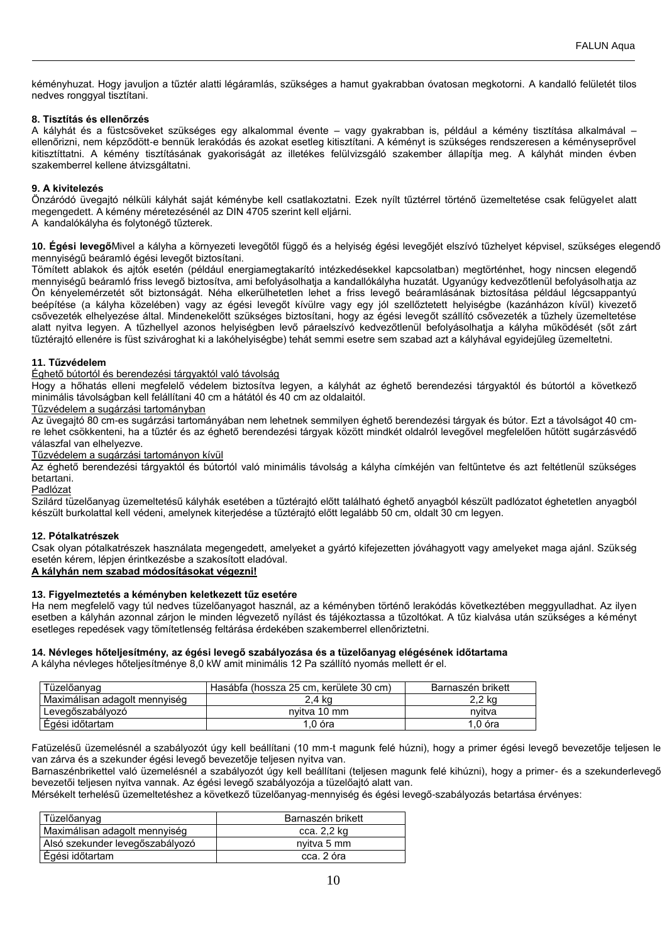kéményhuzat. Hogy javuljon a tűztér alatti légáramlás, szükséges a hamut gyakrabban óvatosan megkotorni. A kandalló felületét tilos nedves ronggyal tisztítani.

# **8. Tisztítás és ellenőrzés**

A kályhát és a füstcsöveket szükséges egy alkalommal évente – vagy gyakrabban is, például a kémény tisztítása alkalmával – ellenőrizni, nem képződött-e bennük lerakódás és azokat esetleg kitisztítani. A kéményt is szükséges rendszeresen a kéményseprővel kitisztíttatni. A kémény tisztításának gyakoriságát az illetékes felülvizsgáló szakember állapítja meg. A kályhát minden évben szakemberrel kellene átvizsgáltatni.

# **9. A kivitelezés**

Önzáródó üvegajtó nélküli kályhát saját kéménybe kell csatlakoztatni. Ezek nyílt tűztérrel történő üzemeltetése csak felügyelet alatt megengedett. A kémény méretezésénél az DIN 4705 szerint kell eljárni.

A kandalókályha és folytonégő tűzterek.

**10. Égési levegő**Mivel a kályha a környezeti levegőtől függő és a helyiség égési levegőjét elszívó tűzhelyet képvisel, szükséges elegendő mennyiségű beáramló égési levegőt biztosítani.

Tömített ablakok és ajtók esetén (például energiamegtakarító intézkedésekkel kapcsolatban) megtörténhet, hogy nincsen elegendő mennyiségű beáramló friss levegő biztosítva, ami befolyásolhatja a kandallókályha huzatát. Ugyanúgy kedvezőtlenül befolyásolhatja az Ön kényelemérzetét sőt biztonságát. Néha elkerülhetetlen lehet a friss levegő beáramlásának biztosítása például légcsappantyú beépítése (a kályha közelében) vagy az égési levegőt kívülre vagy egy jól szellőztetett helyiségbe (kazánházon kívül) kivezető csővezeték elhelyezése által. Mindenekelőtt szükséges biztosítani, hogy az égési levegőt szállító csővezeték a tűzhely üzemeltetése alatt nyitva legyen. A tűzhellyel azonos helyiségben levő páraelszívó kedvezőtlenül befolyásolhatja a kályha működését (sőt zárt tűztérajtó ellenére is füst szivároghat ki a lakóhelyiségbe) tehát semmi esetre sem szabad azt a kályhával egyidejűleg üzemeltetni.

# **11. Tűzvédelem**

## Éghető bútortól és berendezési tárgyaktól való távolság

Hogy a hőhatás elleni megfelelő védelem biztosítva legyen, a kályhát az éghető berendezési tárgyaktól és bútortól a következő minimális távolságban kell felállítani 40 cm a hátától és 40 cm az oldalaitól.

## Tűzvédelem a sugárzási tartományban

Az üvegajtó 80 cm-es sugárzási tartományában nem lehetnek semmilyen éghető berendezési tárgyak és bútor. Ezt a távolságot 40 cmre lehet csökkenteni, ha a tűztér és az éghető berendezési tárgyak között mindkét oldalról levegővel megfelelően hűtött sugárzásvédő válaszfal van elhelyezve.

Tűzvédelem a sugárzási tartományon kívül

Az éghető berendezési tárgyaktól és bútortól való minimális távolság a kályha címkéjén van feltűntetve és azt feltétlenül szükséges betartani.

Padlózat

Szilárd tüzelőanyag üzemeltetésű kályhák esetében a tűztérajtó előtt található éghető anyagból készült padlózatot éghetetlen anyagból készült burkolattal kell védeni, amelynek kiterjedése a tűztérajtó előtt legalább 50 cm, oldalt 30 cm legyen.

## **12. Pótalkatrészek**

Csak olyan pótalkatrészek használata megengedett, amelyeket a gyártó kifejezetten jóváhagyott vagy amelyeket maga ajánl. Szükség esetén kérem, lépjen érintkezésbe a szakosított eladóval.

# **A kályhán nem szabad módosításokat végezni!**

# **13. Figyelmeztetés a kéményben keletkezett tűz esetére**

Ha nem megfelelő vagy túl nedves tüzelőanyagot használ, az a kéményben történő lerakódás következtében meggyulladhat. Az ilyen esetben a kályhán azonnal zárjon le minden légvezető nyílást és tájékoztassa a tűzoltókat. A tűz kialvása után szükséges a kéményt esetleges repedések vagy tömítetlenség feltárása érdekében szakemberrel ellenőriztetni.

## **14. Névleges hőteljesítmény, az égési levegő szabályozása és a tüzelőanyag elégésének időtartama**

A kályha névleges hőteljesítménye 8,0 kW amit minimális 12 Pa szállító nyomás mellett ér el.

| Tüzelőanvag                   | Hasábfa (hossza 25 cm, kerülete 30 cm) | Barnaszén brikett |
|-------------------------------|----------------------------------------|-------------------|
| Maximálisan adagolt mennyiség | 2.4 ka                                 | 2.2 kg            |
| Levegőszabályozó              | nvitva 10 mm                           | nvitva            |
| Égési időtartam               | 1.0 óra                                | .0 óra            |

Fatüzelésű üzemelésnél a szabályozót úgy kell beállítani (10 mm-t magunk felé húzni), hogy a primer égési levegő bevezetője teljesen le van zárva és a szekunder égési levegő bevezetője teljesen nyitva van.

Barnaszénbrikettel való üzemelésnél a szabályozót úgy kell beállítani (teljesen magunk felé kihúzni), hogy a primer- és a szekunderlevegő bevezetői teljesen nyitva vannak. Az égési levegő szabályozója a tüzelőajtó alatt van.

Mérsékelt terhelésű üzemeltetéshez a következő tüzelőanyag-mennyiség és égési levegő-szabályozás betartása érvényes:

| Tüzelőanyag                     | Barnaszén brikett |
|---------------------------------|-------------------|
| Maximálisan adagolt mennyiség   | cca. 2.2 kg       |
| Alsó szekunder levegőszabályozó | nvitva 5 mm       |
| Égési időtartam                 | cca. 2 óra        |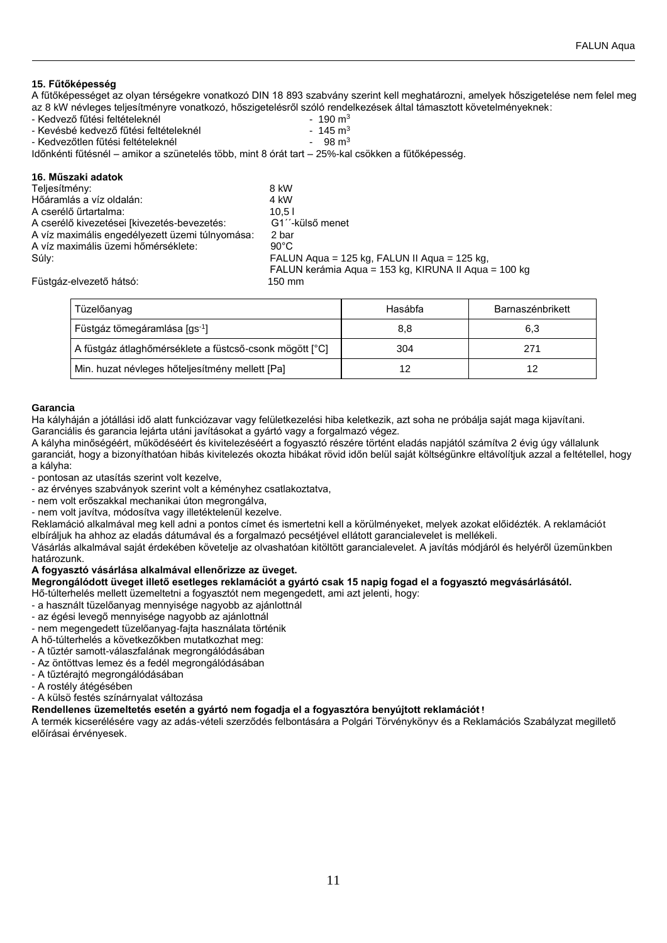# **15. Fűtőképesség**

A fűtőképességet az olyan térségekre vonatkozó DIN 18 893 szabvány szerint kell meghatározni, amelyek hőszigetelése nem felel meg az 8 kW névleges teljesítményre vonatkozó, hőszigetelésről szóló rendelkezések által támasztott követelményeknek:

- 
- Kedvező fűtési feltételeknél 190 m<sup>3</sup>
- Kevésbé kedvező fűtési feltételeknél 145 m<sup>3</sup> - Kedvezőtlen fűtési feltételeknél

Időnkénti fűtésnél – amikor a szünetelés több, mint 8 órát tart – 25%-kal csökken a fűtőképesség.

# **16. Műszaki adatok**

| Teljesítmény:                                   | 8 kW                                                 |
|-------------------------------------------------|------------------------------------------------------|
| Hőáramlás a víz oldalán:                        | 4 kW                                                 |
| A cserélő űrtartalma:                           | 10.5 l                                               |
| A cserélő kivezetései [kivezetés-bevezetés:     | G1 <sup>"</sup> -külső menet                         |
| A víz maximális engedélyezett üzemi túlnyomása: | 2 bar                                                |
| A víz maximális üzemi hőmérséklete:             | $90^{\circ}$ C                                       |
| Súlv:                                           | FALUN Aqua = 125 kg, FALUN II Aqua = 125 kg,         |
|                                                 | FALUN kerámia Agua = 153 kg, KIRUNA II Agua = 100 kg |
| Füstgáz-elvezető hátsó:                         | 150 mm                                               |
|                                                 |                                                      |

| Tüzelőanyag                                             | Hasábfa | Barnaszénbrikett |
|---------------------------------------------------------|---------|------------------|
| Füstgáz tömegáramlása [gs <sup>-1</sup> ]               | 8,8     | 6,3              |
| A füstgáz átlaghőmérséklete a füstcső-csonk mögött [°C] | 304     | 271              |
| Min. huzat névleges hőteljesítmény mellett [Pa]         | 12      | 12               |

# **Garancia**

Ha kályháján a jótállási idő alatt funkciózavar vagy felületkezelési hiba keletkezik, azt soha ne próbálja saját maga kijavítani. Garanciális és garancia lejárta utáni javításokat a gyártó vagy a forgalmazó végez.

A kályha minőségéért, működéséért és kivitelezéséért a fogyasztó részére történt eladás napjától számítva 2 évig úgy vállalunk garanciát, hogy a bizonyíthatóan hibás kivitelezés okozta hibákat rövid időn belül saját költségünkre eltávolítjuk azzal a feltétellel, hogy a kályha:

- pontosan az utasítás szerint volt kezelve,

- az érvényes szabványok szerint volt a kéményhez csatlakoztatva,

- nem volt erőszakkal mechanikai úton megrongálva,
- nem volt javítva, módosítva vagy illetéktelenül kezelve.

Reklamáció alkalmával meg kell adni a pontos címet és ismertetni kell a körülményeket, melyek azokat előidézték. A reklamációt elbíráljuk ha ahhoz az eladás dátumával és a forgalmazó pecsétjével ellátott garancialevelet is mellékeli.

Vásárlás alkalmával saját érdekében követelje az olvashatóan kitöltött garancialevelet. A javítás módjáról és helyéről üzemünkben határozunk.

# **A fogyasztó vásárlása alkalmával ellenőrizze az üveget.**

# **Megrongálódott üveget illető esetleges reklamációt a gyártó csak 15 napig fogad el a fogyasztó megvásárlásától.**

Hő-túlterhelés mellett üzemeltetni a fogyasztót nem megengedett, ami azt jelenti, hogy:

- a használt tüzelőanyag mennyisége nagyobb az ajánlottnál
- az égési levegő mennyisége nagyobb az ajánlottnál
- nem megengedett tüzelőanyag-fajta használata történik
- A hő-túlterhelés a következőkben mutatkozhat meg:
- A tűztér samott-válaszfalának megrongálódásában
- Az öntöttvas lemez és a fedél megrongálódásában
- A tűztérajtó megrongálódásában
- A rostély átégésében

- A külsö festés színárnyalat változása

# **Rendellenes üzemeltetés esetén a gyártó nem fogadja el a fogyasztóra benyújtott reklamációt!**

A termék kicserélésére vagy az adás-vételi szerződés felbontására a Polgári Törvénykönyv és a Reklamációs Szabályzat megillető előírásai érvényesek.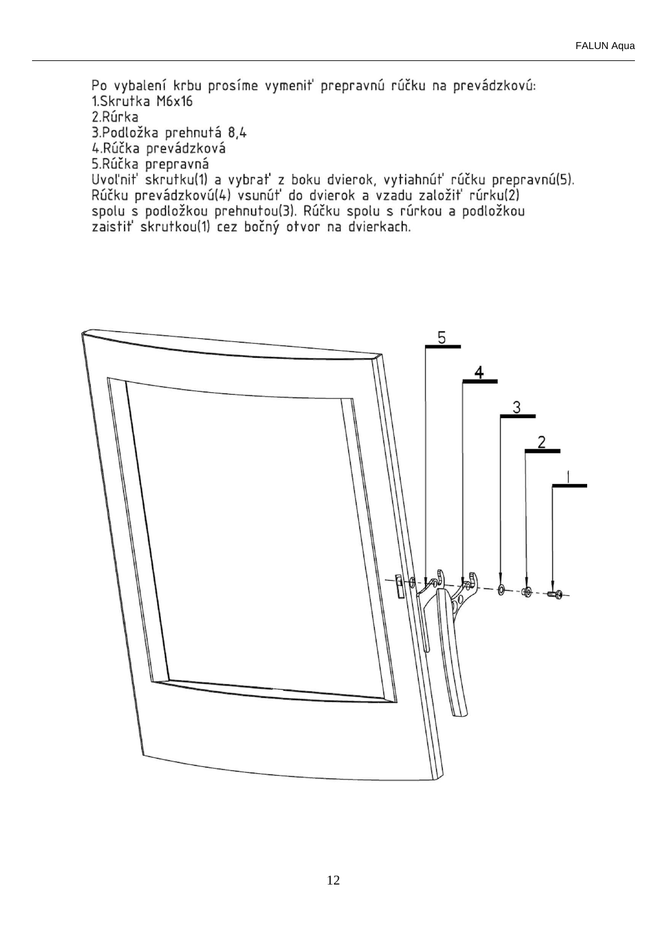Po vybalení krbu prosíme vymeniť prepravnú rúčku na prevádzkovú: 1.Skrutka M6x16 2.Rúrka 3.Podložka prehnutá 8,4 4.Rúčka prevádzková 5.Rúčka prepravná Uvoľniť skrutku(1) a vybrať z boku dvierok, vytiahnúť rúčku prepravnú(5). Rúčku prevádzkovú(4) vsunúť do dvierok a vzadu založiť rúrku(2) spolu s podložkou prehnutou(3). Rúčku spolu s rúrkou a podložkou zaistiť skrutkou(1) cez bočný otvor na dvierkach.

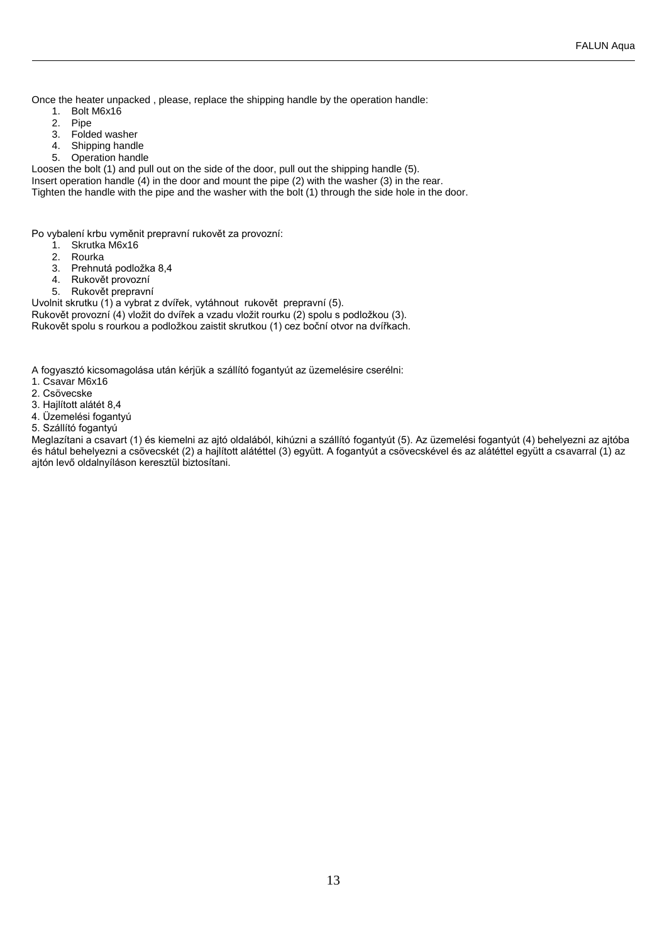Once the heater unpacked , please, replace the shipping handle by the operation handle:

- 1. Bolt M6x16<br>2. Pipe
- Pipe
- 3. Folded washer<br>4. Shipping handle
- Shipping handle
- 5. Operation handle

Loosen the bolt (1) and pull out on the side of the door, pull out the shipping handle (5).

Insert operation handle (4) in the door and mount the pipe (2) with the washer (3) in the rear. Tighten the handle with the pipe and the washer with the bolt (1) through the side hole in the door.

Po vybalení krbu vyměnit prepravní rukovět za provozní:

- 1. Skrutka M6x16
	-
- 2. Rourka<br>3. Prehnu Prehnutá podložka 8,4
- 4. Rukovět provozní
- 5. Rukovět prepravní

Uvolnit skrutku (1) a vybrat z dvířek, vytáhnout rukovět prepravní (5).

Rukovět provozní (4) vložit do dvířek a vzadu vložit rourku (2) spolu s podložkou (3). Rukovět spolu s rourkou a podložkou zaistit skrutkou (1) cez boční otvor na dvířkach.

A fogyasztó kicsomagolása után kérjük a szállító fogantyút az üzemelésire cserélni:

- 1. Csavar M6x16
- 2. Csövecske
- 3. Hajlított alátét 8,4
- 4. Üzemelési fogantyú
- 5. Szállító fogantyú

Meglazítani a csavart (1) és kiemelni az ajtó oldalából, kihúzni a szállító fogantyút (5). Az üzemelési fogantyút (4) behelyezni az ajtóba és hátul behelyezni a csövecskét (2) a hajlított alátéttel (3) együtt. A fogantyút a csövecskével és az alátéttel együtt a csavarral (1) az ajtón levő oldalnyíláson keresztül biztosítani.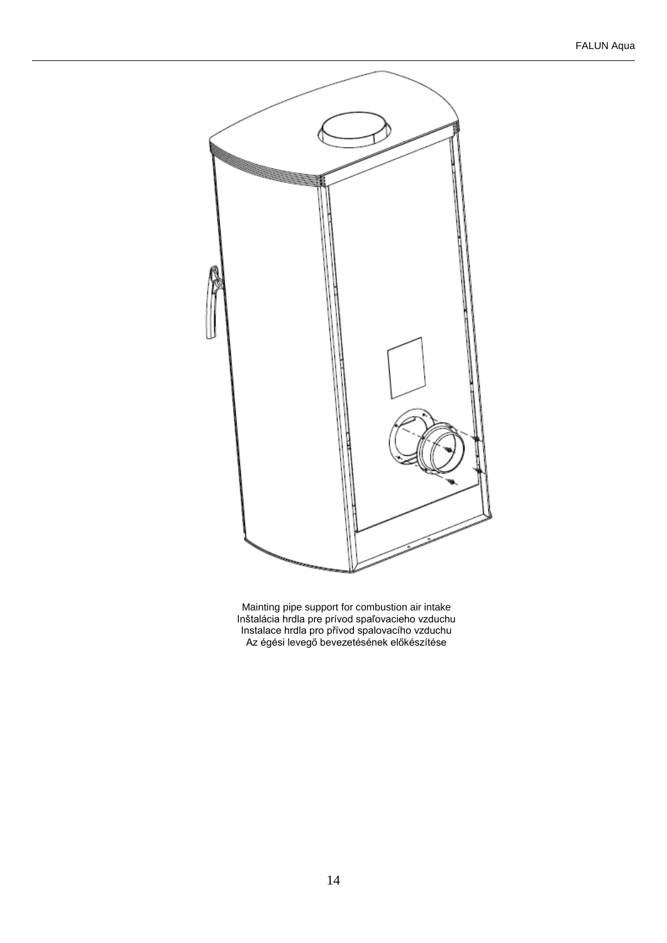

Mainting pipe support for combustion air intake Inštalácia hrdla pre prívod spaľovacieho vzduchu Instalace hrdla pro přívod spalovacího vzduchu Az égési levegő bevezetésének előkészítése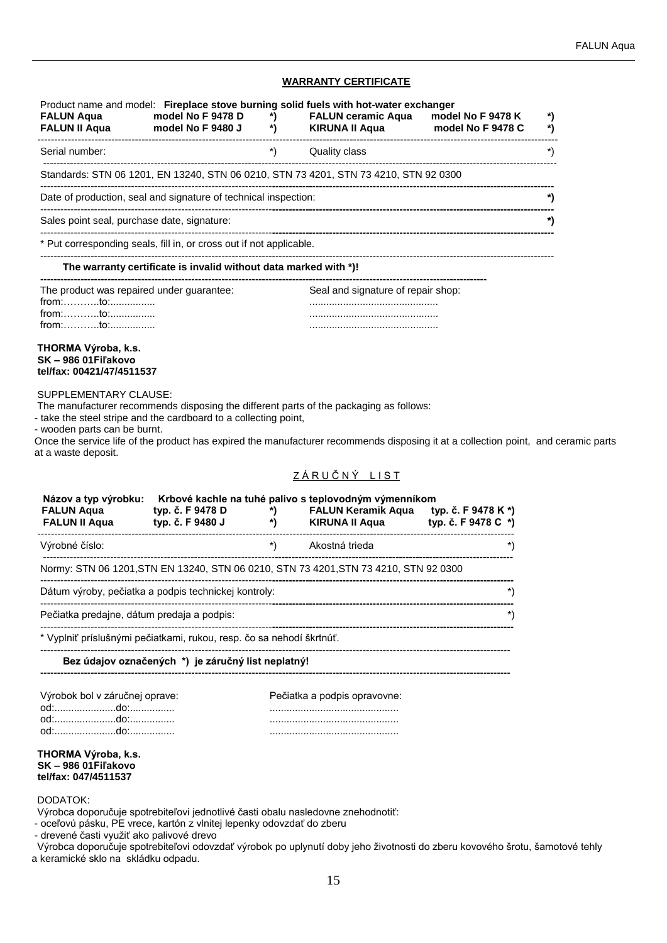# **WARRANTY CERTIFICATE**

|                                                                                                                                        | FALUN Aqua model No F 9478 D *)<br>FALUN II Aqua model No F 9480 J *) |                                                            | Product name and model: Fireplace stove burning solid fuels with hot-water exchanger<br>FALUN ceramic Aqua model No F 9478 K                                                                                                 | *)<br>*)             |
|----------------------------------------------------------------------------------------------------------------------------------------|-----------------------------------------------------------------------|------------------------------------------------------------|------------------------------------------------------------------------------------------------------------------------------------------------------------------------------------------------------------------------------|----------------------|
| Serial number:                                                                                                                         |                                                                       | $\left( \begin{array}{c} \ast \\ \ast \end{array} \right)$ | Quality class                                                                                                                                                                                                                | $\boldsymbol{\cdot}$ |
|                                                                                                                                        |                                                                       |                                                            | Standards: STN 06 1201, EN 13240, STN 06 0210, STN 73 4201, STN 73 4210, STN 92 0300                                                                                                                                         |                      |
|                                                                                                                                        | Date of production, seal and signature of technical inspection:       |                                                            |                                                                                                                                                                                                                              | *)                   |
| Sales point seal, purchase date, signature:                                                                                            |                                                                       |                                                            |                                                                                                                                                                                                                              | *)                   |
|                                                                                                                                        | * Put corresponding seals, fill in, or cross out if not applicable.   |                                                            |                                                                                                                                                                                                                              |                      |
|                                                                                                                                        | The warranty certificate is invalid without data marked with *)!      |                                                            |                                                                                                                                                                                                                              |                      |
| The product was repaired under guarantee:<br>from:to:<br>THORMA Výroba, k.s.<br><b>SK-986 01 Filakovo</b><br>tel/fax: 00421/47/4511537 |                                                                       |                                                            | Seal and signature of repair shop:                                                                                                                                                                                           |                      |
|                                                                                                                                        |                                                                       |                                                            |                                                                                                                                                                                                                              |                      |
| <b>SUPPLEMENTARY CLAUSE:</b><br>- wooden parts can be burnt.<br>at a waste deposit.                                                    | - take the steel stripe and the cardboard to a collecting point,      |                                                            | The manufacturer recommends disposing the different parts of the packaging as follows:<br>Once the service life of the product has expired the manufacturer recommends disposing it at a collection point, and ceramic parts |                      |
|                                                                                                                                        |                                                                       |                                                            | ZÁRUČNÝ LIST                                                                                                                                                                                                                 |                      |
| Názov a typ výrobku:<br><b>FALUN Aqua</b><br><b>FALUN II Aqua</b>                                                                      | typ. č. F 9478 D<br>typ. č. F 9480 J                                  | $\left( \begin{array}{c} \ast \\ \ast \end{array} \right)$ | Krbové kachle na tuhé palivo s teplovodným výmenníkom<br>FALUN Keramik Aqua typ. č. F 9478 K*)<br>*) KIRUNA II Aqua typ. č. F 9478 C *)                                                                                      |                      |

Normy: STN 06 1201,STN EN 13240, STN 06 0210, STN 73 4201,STN 73 4210, STN 92 0300

| Dátum výroby, pečiatka a podpis technickej kontroly: |  |
|------------------------------------------------------|--|
| Pečiatka predajne, dátum predaja a podpis:           |  |

--------------------------------------------------------------------------------------------------------------------------------------------

**--------------------------------------------------------------------------------------------------------------------------------------------**

\* Vyplniť príslušnými pečiatkami, rukou, resp. čo sa nehodí škrtnúť.

## **Bez údajov označených \*) je záručný list neplatný!**

| Výrobok bol v záručnej oprave: | Pečiatka a podpis opravovne: |
|--------------------------------|------------------------------|
|                                |                              |
|                                |                              |
|                                |                              |

## **THORMA Výroba, k.s. SK – 986 01Fiľakovo tel/fax: 047/4511537**

#### DODATOK:

Výrobca doporučuje spotrebiteľovi jednotlivé časti obalu nasledovne znehodnotiť:

- oceľovú pásku, PE vrece, kartón z vlnitej lepenky odovzdať do zberu

- drevené časti využiť ako palivové drevo

Výrobca doporučuje spotrebiteľovi odovzdať výrobok po uplynutí doby jeho životnosti do zberu kovového šrotu, šamotové tehly a keramické sklo na skládku odpadu.